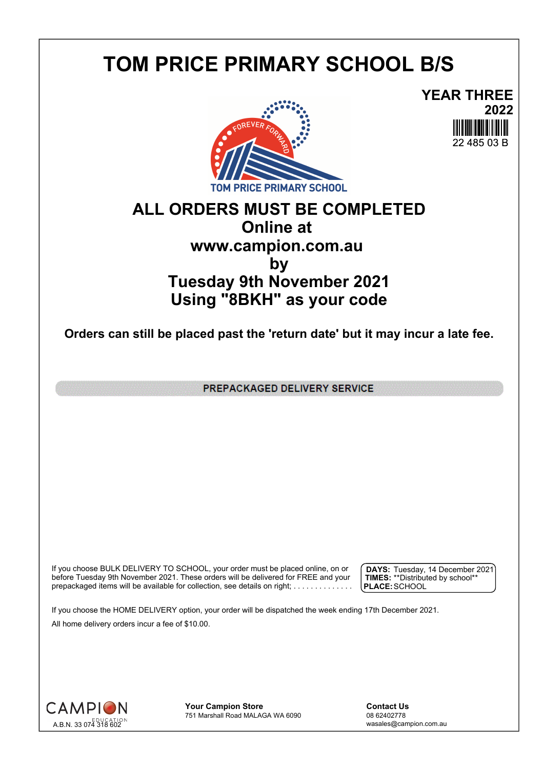## **TOM PRICE PRIMARY SCHOOL B/S**





## **ALL ORDERS MUST BE COMPLETED Online at www.campion.com.au by Tuesday 9th November 2021 Using "8BKH" as your code**

**Orders can still be placed past the 'return date' but it may incur a late fee.**

PREPACKAGED DELIVERY SERVICE

If you choose BULK DELIVERY TO SCHOOL, your order must be placed online, on or  $\int$  DAYS: Tuesday, 1 before Tuesday 9th November 2021. These orders will be delivered for FREE and your  $\;\;\;$  **| TIMES:** \*\*Distribute prepackaged items will be available for collection, see details on right; . . . . . . . . . . . . . . .

**DAYS:** Tuesday, 14 December 2021 **TIMES:** \*\*Distributed by school\*\* **PLACE:**SCHOOL

If you choose the HOME DELIVERY option, your order will be dispatched the week ending 17th December 2021. All home delivery orders incur a fee of \$10.00.



**Your Campion Store**<br>
751 Marshall Road MALAGA WA 6090<br>
08 62402778 751 Marshall Road MALAGA WA 6090

wasales@campion.com.au